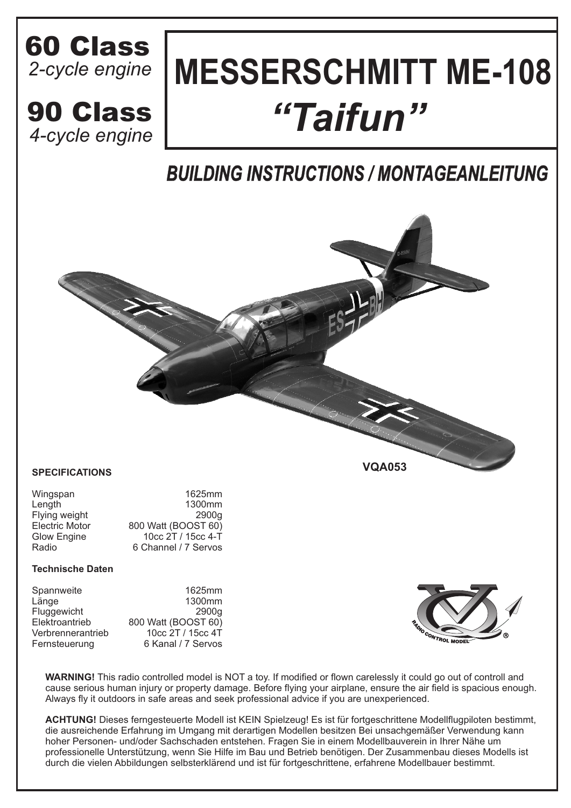## *2-cycle engine* 60 Class

*4-cycle engine*

# **MESSERSCHMITT ME-108** 90 Class *"Taifun"*

## *BUILDING INSTRUCTIONS / MONTAGEANLEITUNG*

**VQA053**



#### **SPECIFICATIONS**

| Wingspan              | 1625mm               |
|-----------------------|----------------------|
| Length                | 1300mm               |
| Flying weight         | 2900a                |
| <b>Electric Motor</b> | 800 Watt (BOOST 60)  |
| Glow Engine           | 10cc 2T / 15cc 4-T   |
| Radio                 | 6 Channel / 7 Servos |

#### **Technische Daten**

| Spannweite        | 1625mm              |
|-------------------|---------------------|
| Länge             | 1300mm              |
| Fluggewicht       | 2900g               |
| Elektroantrieb    | 800 Watt (BOOST 60) |
| Verbrennerantrieb | 10cc 2T / 15cc 4T   |
| Fernsteuerung     | 6 Kanal / 7 Servos  |

**WARNING!** This radio controlled model is NOT a toy. If modified or flown carelessly it could go out of controll and cause serious human injury or property damage. Before flying your airplane, ensure the air field is spacious enough. Always fly it outdoors in safe areas and seek professional advice if you are unexperienced.

**ACHTUNG!** Dieses ferngesteuerte Modell ist KEIN Spielzeug! Es ist für fortgeschrittene Modellflugpiloten bestimmt, die ausreichende Erfahrung im Umgang mit derartigen Modellen besitzen Bei unsachgemäßer Verwendung kann hoher Personen- und/oder Sachschaden entstehen. Fragen Sie in einem Modellbauverein in Ihrer Nähe um professionelle Unterstützung, wenn Sie Hilfe im Bau und Betrieb benötigen. Der Zusammenbau dieses Modells ist durch die vielen Abbildungen selbsterklärend und ist für fortgeschrittene, erfahrene Modellbauer bestimmt.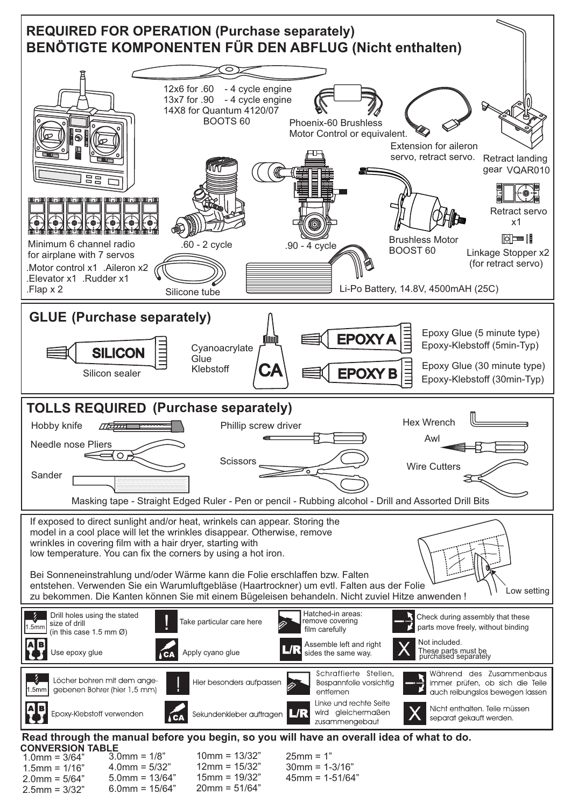

 $1.0$ mm =  $3/64$ "  $1.5$ mm =  $1/16"$  $2.0$ mm =  $5/64"$ 2.5mm = 3/32"  $3.0$ mm =  $1/8$ "  $4.0$ mm =  $5/32"$ 5.0mm = 13/64"  $6.0$ mm =  $15/64"$ 10mm = 13/32" 12mm = 15/32" 15mm = 19/32" 20mm = 51/64"  $25mm = 1"$ 30mm = 1-3/16"  $45mm = 1 - 51/64"$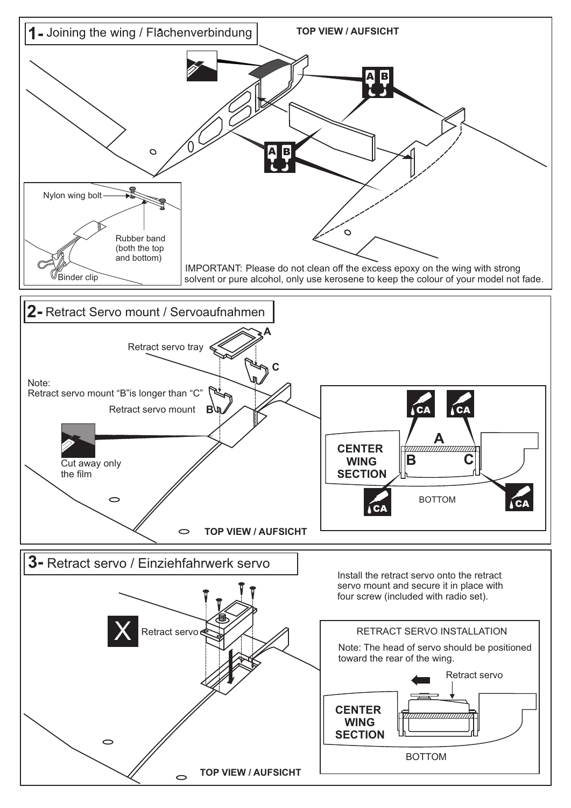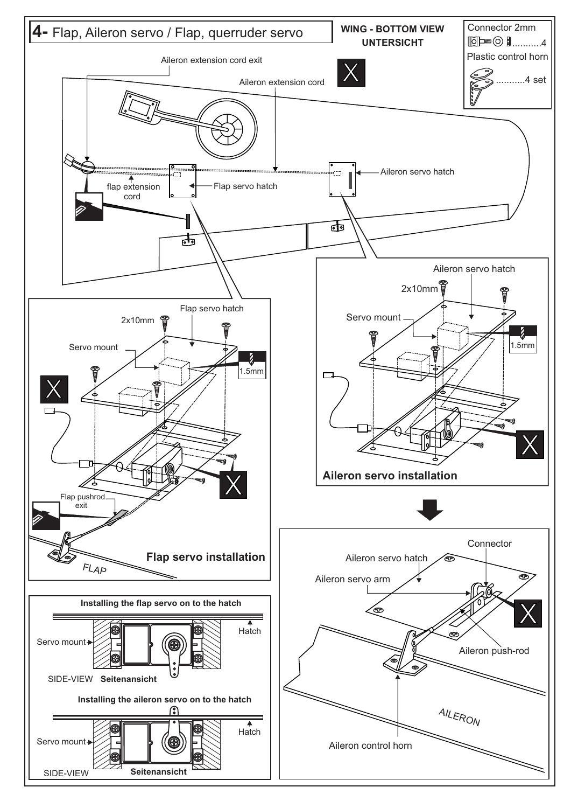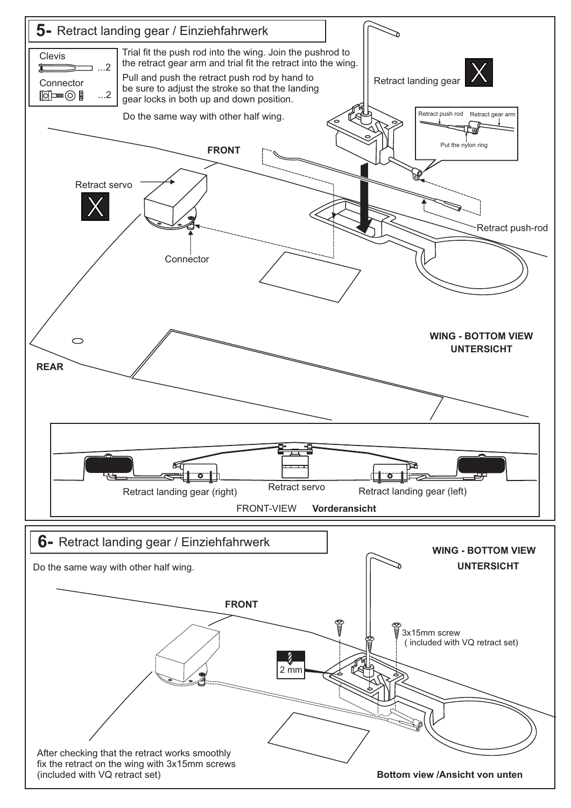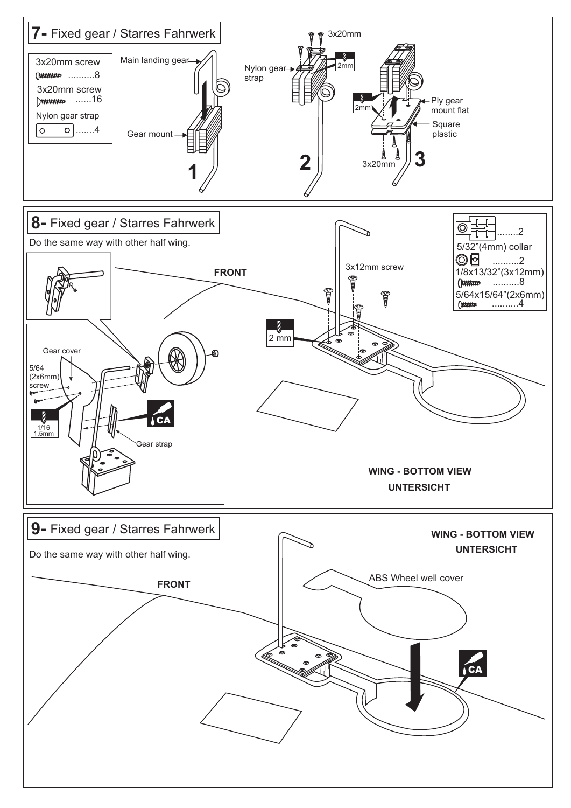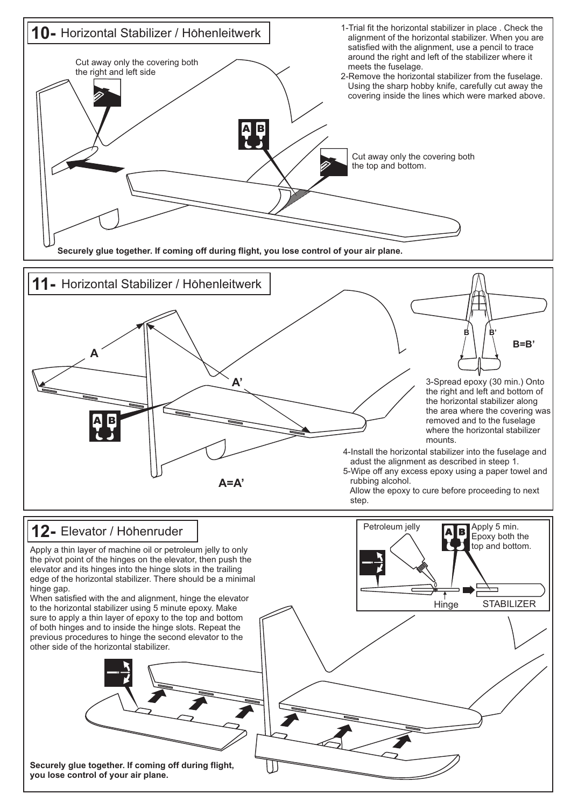![](_page_6_Figure_0.jpeg)

![](_page_6_Figure_1.jpeg)

**Hinge** 

A|B

**STABILIZER** 

Apply 5 min. Epoxy both the top and bottom.

Petroleum jelly

### **12-** Elevator / Hohenruder

Apply a thin layer of machine oil or petroleum jelly to only the pivot point of the hinges on the elevator, then push the elevator and its hinges into the hinge slots in the trailing edge of the horizontal stabilizer. There should be a minimal hinge gap.

When satisfied with the and alignment, hinge the elevator to the horizontal stabilizer using 5 minute epoxy. Make sure to apply a thin layer of epoxy to the top and bottom of both hinges and to inside the hinge slots. Repeat the previous procedures to hinge the second elevator to the other side of the horizontal stabilizer.

![](_page_6_Picture_5.jpeg)

**Securely glue together. If coming off during flight, you lose control of your air plane.**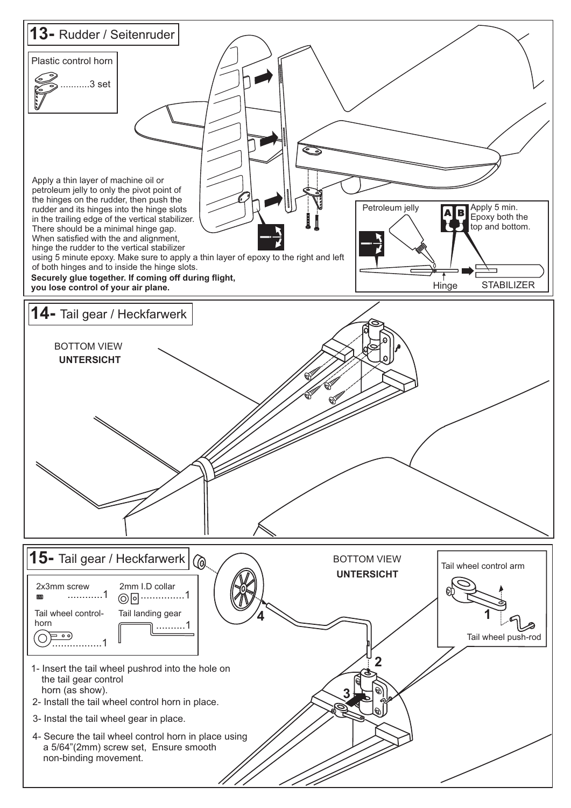![](_page_7_Figure_0.jpeg)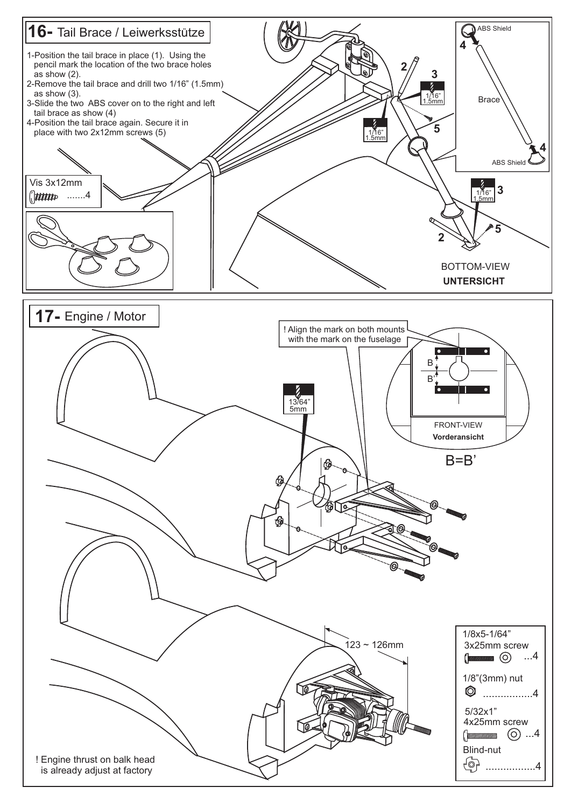![](_page_8_Figure_0.jpeg)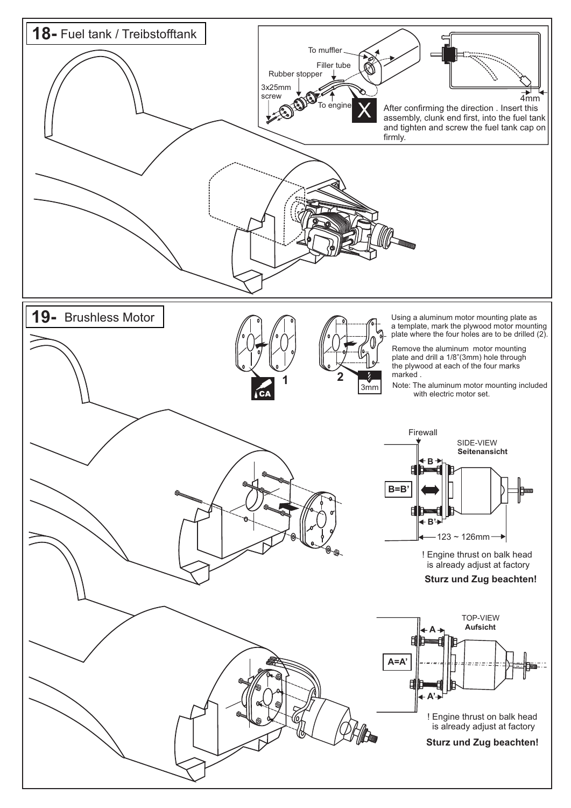![](_page_9_Figure_0.jpeg)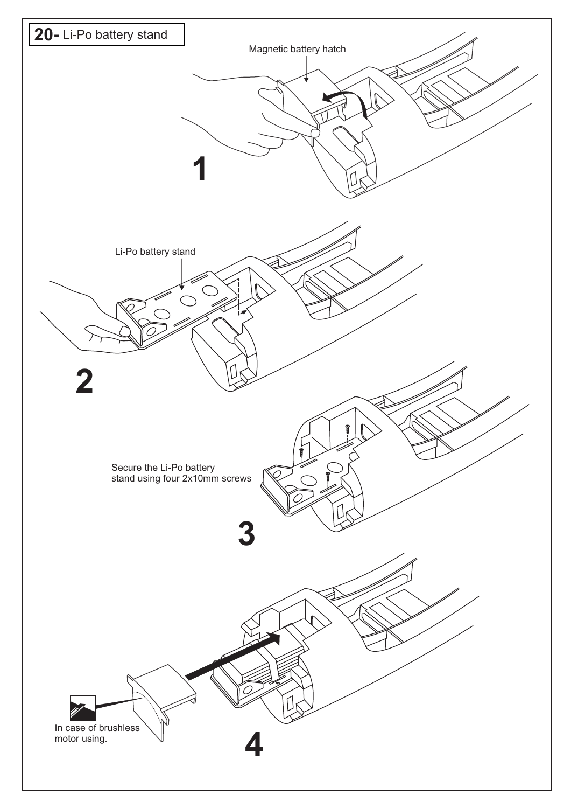![](_page_10_Figure_0.jpeg)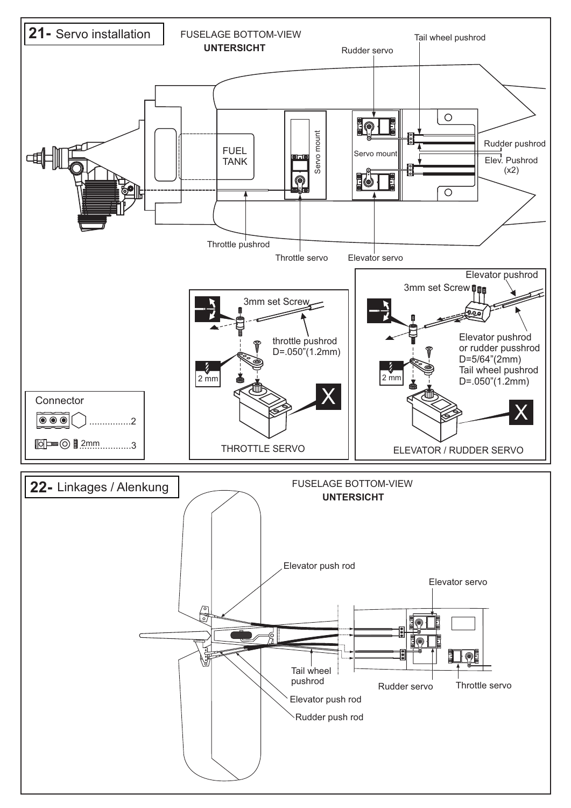![](_page_11_Figure_0.jpeg)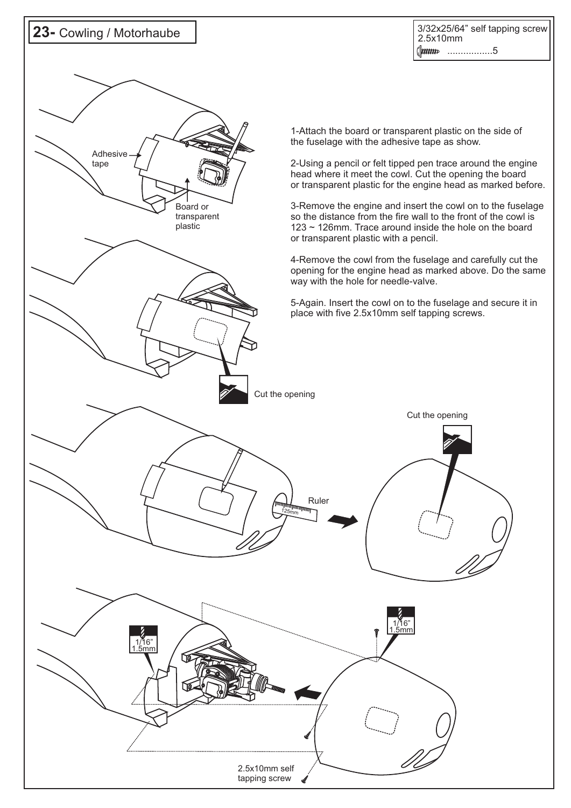![](_page_12_Figure_0.jpeg)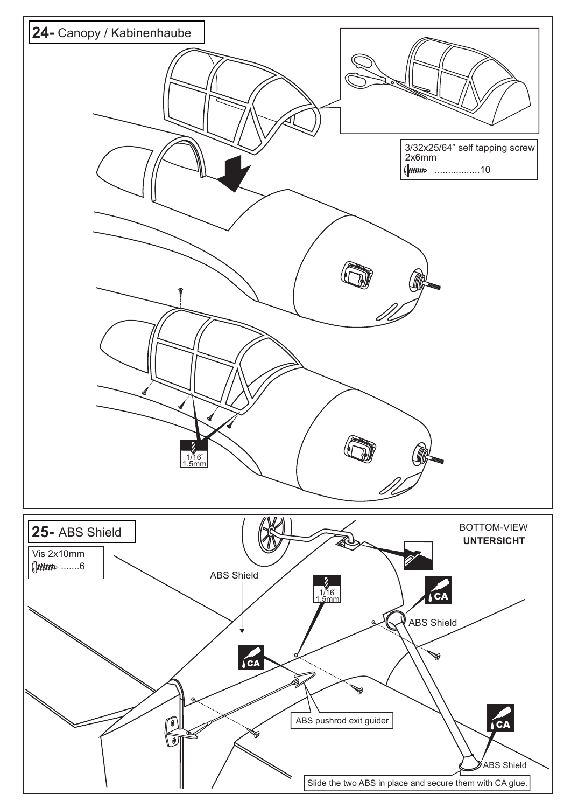![](_page_13_Figure_0.jpeg)